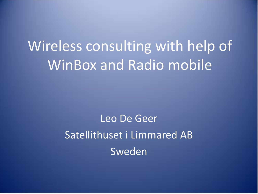# Wireless consulting with help of WinBox and Radio mobile

Leo De Geer Satellithuset i Limmared AB Sweden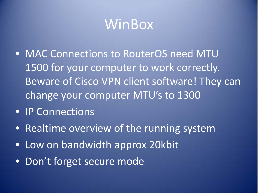#### WinBox

- MAC Connections to RouterOS need MTU 1500 for your computer to work correctly. Beware of Cisco VPN client software! They can change your computer MTU's to 1300
- IP Connections
- Realtime overview of the running system
- Low on bandwidth approx 20kbit
- Don't forget secure mode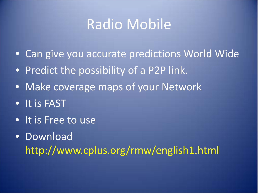#### Radio Mobile

- Can give you accurate predictions World Wide
- Predict the possibility of a P2P link.
- Make coverage maps of your Network
- It is FAST
- It is Free to use
- Download http://www.cplus.org/rmw/english1.html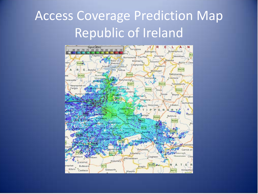# Access Coverage Prediction Map Republic of Ireland

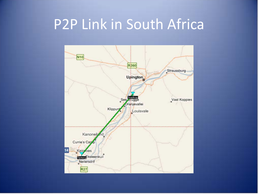# P2P Link in South Africa

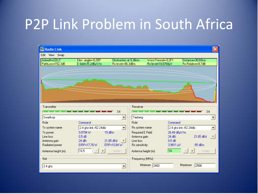# P2P Link Problem in South Africa

| <b>M</b> Radio Link                |                                           |                                            |                                            |                        |                                       | ×   |
|------------------------------------|-------------------------------------------|--------------------------------------------|--------------------------------------------|------------------------|---------------------------------------|-----|
| Edit View Swap                     |                                           |                                            |                                            |                        |                                       |     |
| Azimuth=220,2°<br>PathLoss=152,3dB | Elev. angle=-0,285°<br>E field=35,2dBµV/m | Obstruction at 9,36km<br>Rx level=-86,3dBm | Worst Fresnel=-0,2F1<br>Rx level=10,8768µV |                        | Distance=30,60km<br>Rx Relative=8,7dB |     |
|                                    |                                           |                                            |                                            |                        |                                       |     |
| Transmitter                        |                                           | Receiver                                   |                                            |                        |                                       |     |
|                                    |                                           | S <sub>4</sub><br><b>Contract Contract</b> |                                            |                        | S <sub>4</sub>                        |     |
| Swartkop                           |                                           | Tierberg<br>$\blacktriangledown$           |                                            |                        |                                       | ▼   |
| Role                               | Command                                   | Role                                       |                                            | Command                |                                       |     |
| Tx system name                     | 2.4 ghz link r52 24dbi                    | Rx system name<br>$\blacktriangledown$     |                                            | 2.4 ghz link r52 24dbi |                                       | ▼   |
| Tx power                           | 19 dBm<br>0,0794 W                        | <b>Required E Field</b>                    |                                            | 26,49 dBµV/m           |                                       |     |
| Line loss                          | 0.5 dB                                    | Antenna gain                               |                                            | 24 dBi                 | 21,85 dBd                             | $+$ |
| Antenna gain                       | 24 dBi<br>21,85 dBd                       | Line loss<br>$+$                           |                                            | 0.5 dB                 |                                       |     |
| Radiated power                     | EIRP=17,78W                               | ERP=10,84 W<br><b>Rx</b> sensitivity       |                                            | 3,9811 µV              | $-95dBm$                              |     |
| Antenna height (m)                 | 16,5<br>$\boldsymbol{+}$                  | Undo                                       | Antenna height (m)                         | 14                     | Undo<br>$\ddot{}$                     |     |
| Net                                |                                           | Frequency (MHz)                            |                                            |                        |                                       |     |
| $2.4$ ghz                          |                                           |                                            | Minimum 2400                               | Maximum                | 2500                                  |     |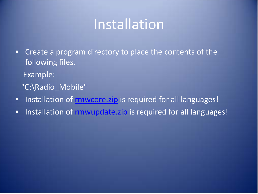### Installation

- Create a program directory to place the contents of the following files.
	- Example:
	- "C:\Radio\_Mobile"
- Installation of [rmwcore.zip](http://www.cplus.org/rmw/download/rmwcore.zip) is required for all languages!
- Installation of [rmwupdate.zip](http://www.cplus.org/rmw/download/rmwupdate.zip) is required for all languages!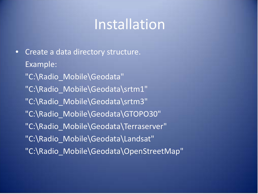#### Installation

• Create a data directory structure. Example: "C:\Radio\_Mobile\Geodata" "C:\Radio\_Mobile\Geodata\srtm1" "C:\Radio\_Mobile\Geodata\srtm3" "C:\Radio\_Mobile\Geodata\GTOPO30" "C:\Radio\_Mobile\Geodata\Terraserver" "C:\Radio\_Mobile\Geodata\Landsat" "C:\Radio\_Mobile\Geodata\OpenStreetMap"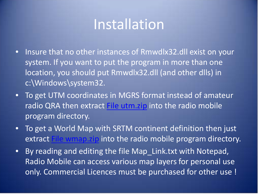#### Installation

- Insure that no other instances of Rmwdlx32.dll exist on your system. If you want to put the program in more than one location, you should put Rmwdlx32.dll (and other dlls) in c:\Windows\system32.
- To get UTM coordinates in MGRS format instead of amateur radio QRA then extract [File utm.zip](http://www.cplus.org/rmw/download/utm.zip) into the radio mobile program directory.
- To get a World Map with SRTM continent definition then just extract [File wmap.zip](http://www.cplus.org/rmw/download/wmap.zip) into the radio mobile program directory.
- By reading and editing the file Map\_Link.txt with Notepad, Radio Mobile can access various map layers for personal use only. Commercial Licences must be purchased for other use !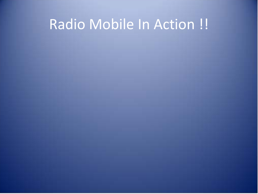# Radio Mobile In Action !!